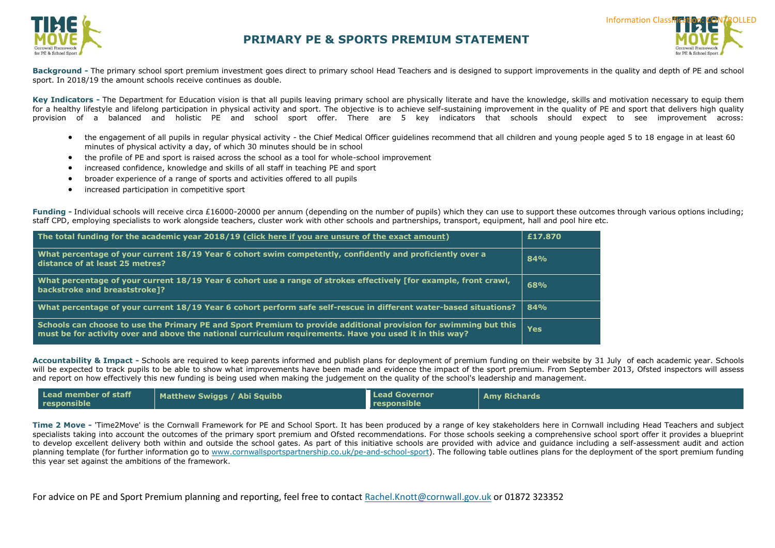



**Background -** The primary school sport premium investment goes direct to primary school Head Teachers and is designed to support improvements in the quality and depth of PE and school sport. In 2018/19 the amount schools receive continues as double.

Key Indicators - The Department for Education vision is that all pupils leaving primary school are physically literate and have the knowledge, skills and motivation necessary to equip them for a healthy lifestyle and lifelong participation in physical activity and sport. The objective is to achieve self-sustaining improvement in the quality of PE and sport that delivers high quality provision of a balanced and holistic PE and school sport offer. There are 5 key indicators that schools should expect to see improvement across:

- the engagement of all pupils in regular physical activity the Chief Medical Officer guidelines recommend that all children and young people aged 5 to 18 engage in at least 60 minutes of physical activity a day, of which 30 minutes should be in school
- the profile of PE and sport is raised across the school as a tool for whole-school improvement
- increased confidence, knowledge and skills of all staff in teaching PE and sport
- broader experience of a range of sports and activities offered to all pupils
- increased participation in competitive sport

**Funding -** Individual schools will receive circa £16000-20000 per annum (depending on the number of pupils) which they can use to support these outcomes through various options including; staff CPD, employing specialists to work alongside teachers, cluster work with other schools and partnerships, transport, equipment, hall and pool hire etc.

| The total funding for the academic year 2018/19 (click here if you are unsure of the exact amount)                                                                                                                          | £17.870 |
|-----------------------------------------------------------------------------------------------------------------------------------------------------------------------------------------------------------------------------|---------|
| What percentage of your current 18/19 Year 6 cohort swim competently, confidently and proficiently over a<br>distance of at least 25 metres?                                                                                | 84%     |
| What percentage of your current 18/19 Year 6 cohort use a range of strokes effectively [for example, front crawl,<br>backstroke and breaststroke]?                                                                          | 68%     |
| What percentage of your current 18/19 Year 6 cohort perform safe self-rescue in different water-based situations?                                                                                                           | 84%     |
| Schools can choose to use the Primary PE and Sport Premium to provide additional provision for swimming but this<br>must be for activity over and above the national curriculum requirements. Have you used it in this way? | Yes     |

**Accountability & Impact -** Schools are required to keep parents informed and publish plans for deployment of premium funding on their website by 31 July of each academic year. Schools will be expected to track pupils to be able to show what improvements have been made and [evidence the impact o](http://www.cornwallsportspartnership.co.uk/)f the sport premium. From September 2013, [Ofsted](http://www.ofsted.gov.uk/inspection-reports/our-expert-knowledge/physical-education) inspectors will assess and report on how effectively this new funding is being used when making the judgement on the quality of the school's leadership and management.

| Lead member of staff<br>responsible | Matthew Swiggs / Abi Squibb | <b>Lead Governor</b><br>responsible | <b>Amy Richards</b> |
|-------------------------------------|-----------------------------|-------------------------------------|---------------------|
|-------------------------------------|-----------------------------|-------------------------------------|---------------------|

**Time 2 Move -** 'Time2Move' is the Cornwall Framework for PE and School Sport. It has been produced by a range of key stakeholders here in Cornwall including Head Teachers and subject specialists taking into account the outcomes of the primary sport premium and Ofsted recommendations. For those schools seeking a comprehensive school sport offer it provides a blueprint to develop excellent delivery both within and outside the school gates. As part of this initiative schools are provided with advice and guidance including a self-assessment audit and action planning template (for further information go to [www.cornwallsportspartnership.co.uk/pe-and-school-sport\)](http://www.cornwallsportspartnership.co.uk/pe-and-school-sport). The following table outlines plans for the deployment of the sport premium funding this year set against the ambitions of the framework.

For advice on PE and Sport Premium planning and reporting, feel free to contact [Rachel.Knott@cornwall.gov.uk](mailto:Rachel.Knott@cornwall.gov.uk) or 01872 323352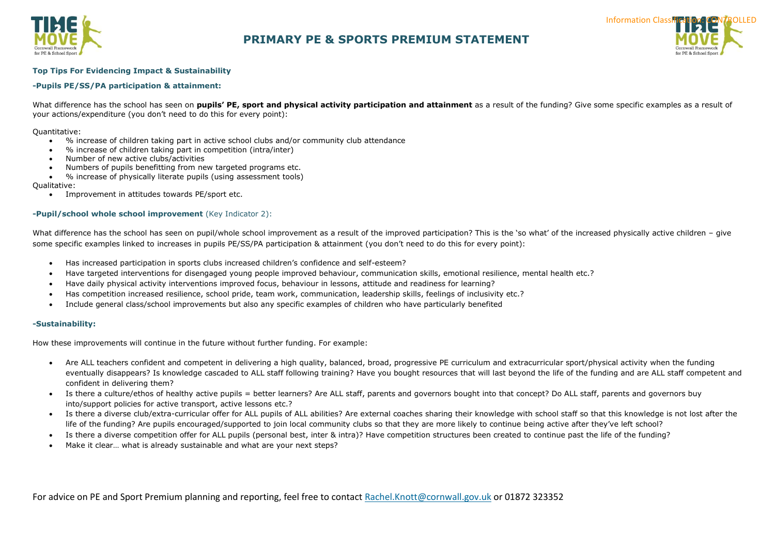



### **Top Tips For Evidencing Impact & Sustainability**

### **-Pupils PE/SS/PA participation & attainment:**

What difference has the school has seen on **pupils' PE, sport and physical activity participation and attainment** as a result of the funding? Give some specific examples as a result of your actions/expenditure (you don't need to do this for every point):

#### Quantitative:

- % increase of children taking part in active school clubs and/or community club attendance
- % increase of children taking part in competition (intra/inter)
- Number of new active clubs/activities
- Numbers of pupils benefitting from new targeted programs etc.
- % increase of physically literate pupils (using assessment tools)

#### Qualitative:

Improvement in attitudes towards PE/sport etc.

### **-Pupil/school whole school improvement** (Key Indicator 2):

What difference has the school has seen on pupil/whole school improvement as a result of the improved participation? This is the 'so what' of the increased physically active children – give some specific examples linked to increases in pupils PE/SS/PA participation & attainment (you don't need to do this for every point):

- Has increased participation in sports clubs increased children's confidence and self-esteem?
- Have targeted interventions for disengaged young people improved behaviour, communication skills, emotional resilience, mental health etc.?
- Have daily physical activity interventions improved focus, behaviour in lessons, attitude and readiness for learning?
- Has competition increased resilience, school pride, team work, communication, leadership skills, feelings of inclusivity etc.?
- Include general class/school improvements but also any specific examples of children who have particularly benefited

#### **-Sustainability:**

How these improvements will continue in the future without further funding. For example:

- Are ALL teachers confident and competent in delivering a high quality, balanced, broad, progressive PE curriculum and extracurricular sport/physical activity when the funding eventually disappears? Is knowledge cascaded to ALL staff following training? Have you bought resources that will last beyond the life of the funding and are ALL staff competent and confident in delivering them?
- Is there a culture/ethos of healthy active pupils = better learners? Are ALL staff, parents and governors bought into that concept? Do ALL staff, parents and governors buy into/support policies for active transport, active lessons etc.?
- Is there a diverse club/extra-curricular offer for ALL pupils of ALL abilities? Are external coaches sharing their knowledge with school staff so that this knowledge is not lost after the life of the funding? Are pupils encouraged/supported to join local community clubs so that they are more likely to continue being active after they've left school?
- Is there a diverse competition offer for ALL pupils (personal best, inter & intra)? Have competition structures been created to continue past the life of the funding?
- Make it clear… what is already sustainable and what are your next steps?

For advice on PE and Sport Premium planning and reporting, feel free to contact [Rachel.Knott@cornwall.gov.uk](mailto:Rachel.Knott@cornwall.gov.uk) or 01872 323352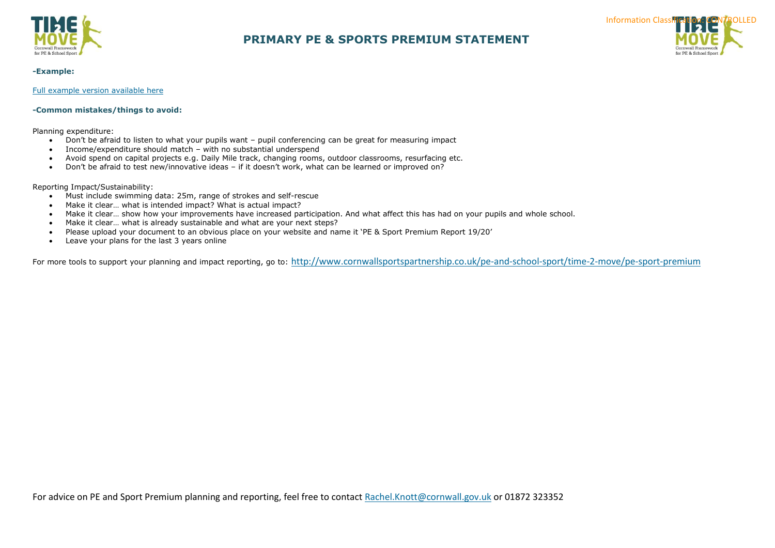



#### **-Example:**

[Full example version available here](https://sportengland.sharepoint.com/:x:/r/sites/Insight365/DRE/_layouts/15/Doc.aspx?sourcedoc=%7bbf83f43f-d641-4792-94eb-99cca0368ef2%7d&action=edit&activeCell=)

### **-Common mistakes/things to avoid:**

Planning expenditure:

- Don't be afraid to listen to what your pupils want pupil conferencing can be great for measuring impact
- Income/expenditure should match with no substantial underspend
- Avoid spend on capital projects e.g. Daily Mile track, changing rooms, outdoor classrooms, resurfacing etc.
- Don't be afraid to test new/innovative ideas if it doesn't work, what can be learned or improved on?

#### Reporting Impact/Sustainability:

- Must include swimming data: 25m, range of strokes and self-rescue
- Make it clear… what is intended impact? What is actual impact?
- Make it clear… show how your improvements have increased participation. And what affect this has had on your pupils and whole school.
- Make it clear... what is already sustainable and what are your next steps?
- Please upload your document to an obvious place on your website and name it 'PE & Sport Premium Report 19/20'
- Leave your plans for the last 3 years online

For more tools to support your planning and impact reporting, go to: <http://www.cornwallsportspartnership.co.uk/pe-and-school-sport/time-2-move/pe-sport-premium>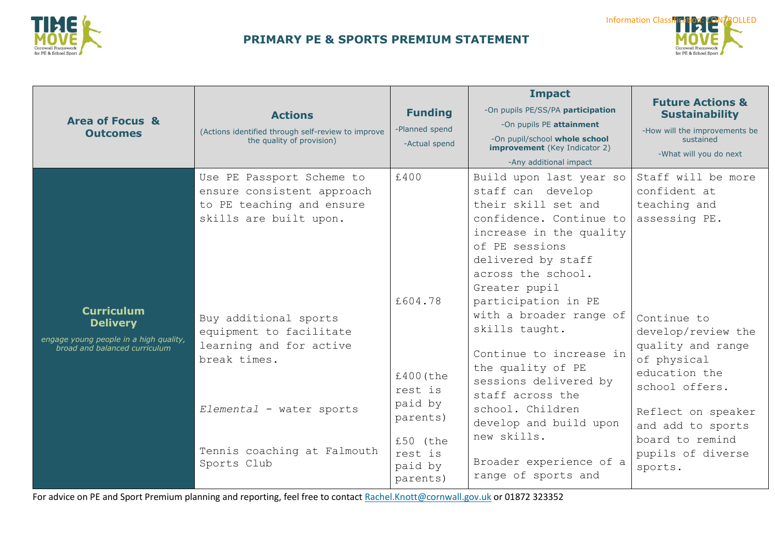



| <b>Area of Focus &amp;</b><br><b>Outcomes</b>                                                                   | <b>Actions</b><br>(Actions identified through self-review to improve<br>the quality of provision)                                                                                                                                                                                       | <b>Funding</b><br>-Planned spend<br>-Actual spend                                                            | <b>Impact</b><br>-On pupils PE/SS/PA participation<br>-On pupils PE attainment<br>-On pupil/school whole school<br><b>improvement</b> (Key Indicator 2)<br>-Any additional impact                                                                                                                                                                                                                                                                                                        | <b>Future Actions &amp;</b><br><b>Sustainability</b><br>-How will the improvements be<br>sustained<br>-What will you do next                                                                                                                                                  |
|-----------------------------------------------------------------------------------------------------------------|-----------------------------------------------------------------------------------------------------------------------------------------------------------------------------------------------------------------------------------------------------------------------------------------|--------------------------------------------------------------------------------------------------------------|------------------------------------------------------------------------------------------------------------------------------------------------------------------------------------------------------------------------------------------------------------------------------------------------------------------------------------------------------------------------------------------------------------------------------------------------------------------------------------------|-------------------------------------------------------------------------------------------------------------------------------------------------------------------------------------------------------------------------------------------------------------------------------|
| <b>Curriculum</b><br><b>Delivery</b><br>engage young people in a high quality,<br>broad and balanced curriculum | Use PE Passport Scheme to<br>ensure consistent approach<br>to PE teaching and ensure<br>skills are built upon.<br>Buy additional sports<br>equipment to facilitate<br>learning and for active<br>break times.<br>Elemental - water sports<br>Tennis coaching at Falmouth<br>Sports Club | £400<br>£604.78<br>£400 (the<br>rest is<br>paid by<br>parents)<br>£50 (the<br>rest is<br>paid by<br>parents) | Build upon last year so<br>staff can develop<br>their skill set and<br>confidence. Continue to<br>increase in the quality<br>of PE sessions<br>delivered by staff<br>across the school.<br>Greater pupil<br>participation in PE<br>with a broader range of<br>skills taught.<br>Continue to increase in<br>the quality of PE<br>sessions delivered by<br>staff across the<br>school. Children<br>develop and build upon<br>new skills.<br>Broader experience of a<br>range of sports and | Staff will be more<br>confident at<br>teaching and<br>assessing PE.<br>Continue to<br>develop/review the<br>quality and range<br>of physical<br>education the<br>school offers.<br>Reflect on speaker<br>and add to sports<br>board to remind<br>pupils of diverse<br>sports. |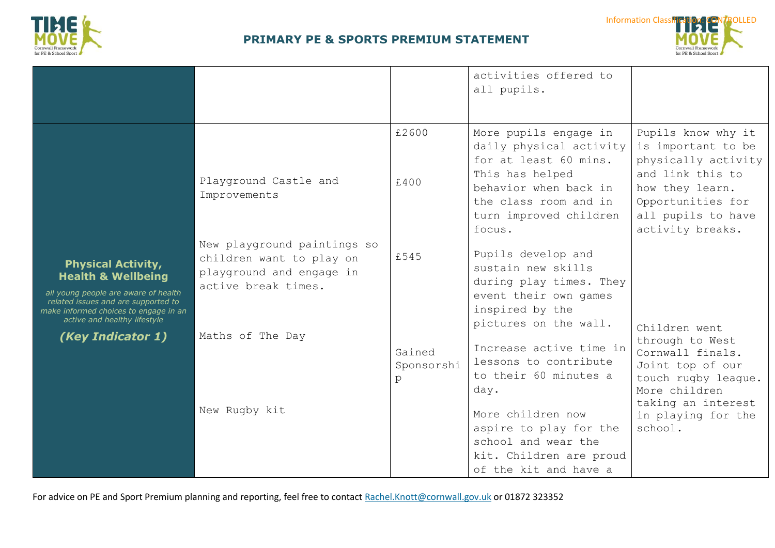



|                                                                                                                                                                                                                                         |                                                                                                            |                           | activities offered to<br>all pupils.                                                                                                                                               |                                                                                                                                                                       |
|-----------------------------------------------------------------------------------------------------------------------------------------------------------------------------------------------------------------------------------------|------------------------------------------------------------------------------------------------------------|---------------------------|------------------------------------------------------------------------------------------------------------------------------------------------------------------------------------|-----------------------------------------------------------------------------------------------------------------------------------------------------------------------|
| <b>Physical Activity,</b><br><b>Health &amp; Wellbeing</b><br>all young people are aware of health<br>related issues and are supported to<br>make informed choices to engage in an<br>active and healthy lifestyle<br>(Key Indicator 1) | Playground Castle and<br>Improvements                                                                      | £2600<br>£400             | More pupils engage in<br>daily physical activity<br>for at least 60 mins.<br>This has helped<br>behavior when back in<br>the class room and in<br>turn improved children<br>focus. | Pupils know why it<br>is important to be<br>physically activity<br>and link this to<br>how they learn.<br>Opportunities for<br>all pupils to have<br>activity breaks. |
|                                                                                                                                                                                                                                         | New playground paintings so<br>children want to play on<br>playground and engage in<br>active break times. | £545                      | Pupils develop and<br>sustain new skills<br>during play times. They<br>event their own games<br>inspired by the                                                                    |                                                                                                                                                                       |
|                                                                                                                                                                                                                                         | Maths of The Day                                                                                           | Gained<br>Sponsorshi<br>p | pictures on the wall.<br>Increase active time in<br>lessons to contribute<br>to their 60 minutes a<br>day.                                                                         | Children went<br>through to West<br>Cornwall finals.<br>Joint top of our<br>touch rugby league.<br>More children                                                      |
|                                                                                                                                                                                                                                         | New Rugby kit                                                                                              |                           | More children now<br>aspire to play for the<br>school and wear the<br>kit. Children are proud<br>of the kit and have a                                                             | taking an interest<br>in playing for the<br>school.                                                                                                                   |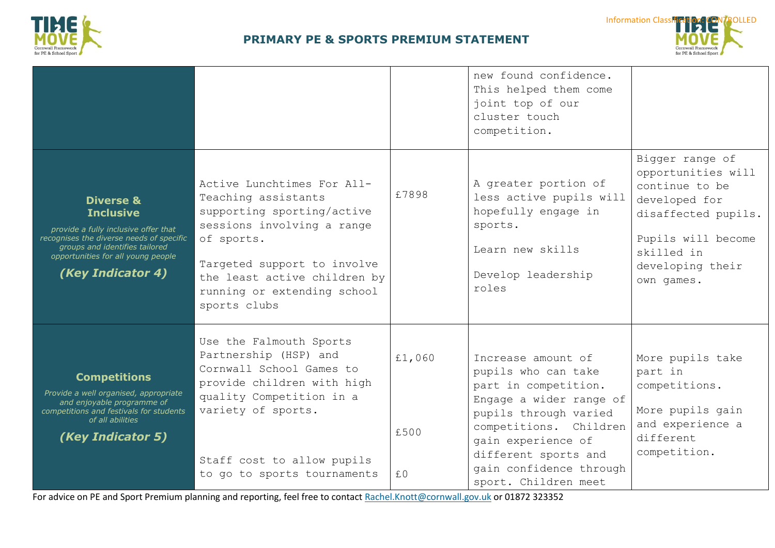



|                                                                                                                                                                                                                           |                                                                                                                                                                                                                                           |                      | new found confidence.<br>This helped them come<br>joint top of our<br>cluster touch<br>competition.                                                                                                                                              |                                                                                                                                                                       |
|---------------------------------------------------------------------------------------------------------------------------------------------------------------------------------------------------------------------------|-------------------------------------------------------------------------------------------------------------------------------------------------------------------------------------------------------------------------------------------|----------------------|--------------------------------------------------------------------------------------------------------------------------------------------------------------------------------------------------------------------------------------------------|-----------------------------------------------------------------------------------------------------------------------------------------------------------------------|
| <b>Diverse &amp;</b><br><b>Inclusive</b><br>provide a fully inclusive offer that<br>recognises the diverse needs of specific<br>groups and identifies tailored<br>opportunities for all young people<br>(Key Indicator 4) | Active Lunchtimes For All-<br>Teaching assistants<br>supporting sporting/active<br>sessions involving a range<br>of sports.<br>Targeted support to involve<br>the least active children by<br>running or extending school<br>sports clubs | £7898                | A greater portion of<br>less active pupils will<br>hopefully engage in<br>sports.<br>Learn new skills<br>Develop leadership<br>roles                                                                                                             | Bigger range of<br>opportunities will<br>continue to be<br>developed for<br>disaffected pupils.<br>Pupils will become<br>skilled in<br>developing their<br>own games. |
| <b>Competitions</b><br>Provide a well organised, appropriate<br>and enjoyable programme of<br>competitions and festivals for students<br>of all abilities<br>(Key Indicator 5)                                            | Use the Falmouth Sports<br>Partnership (HSP) and<br>Cornwall School Games to<br>provide children with high<br>quality Competition in a<br>variety of sports.<br>Staff cost to allow pupils<br>to go to sports tournaments                 | £1,060<br>£500<br>£0 | Increase amount of<br>pupils who can take<br>part in competition.<br>Engage a wider range of<br>pupils through varied<br>competitions. Children<br>gain experience of<br>different sports and<br>gain confidence through<br>sport. Children meet | More pupils take<br>part in<br>competitions.<br>More pupils gain<br>and experience a<br>different<br>competition.                                                     |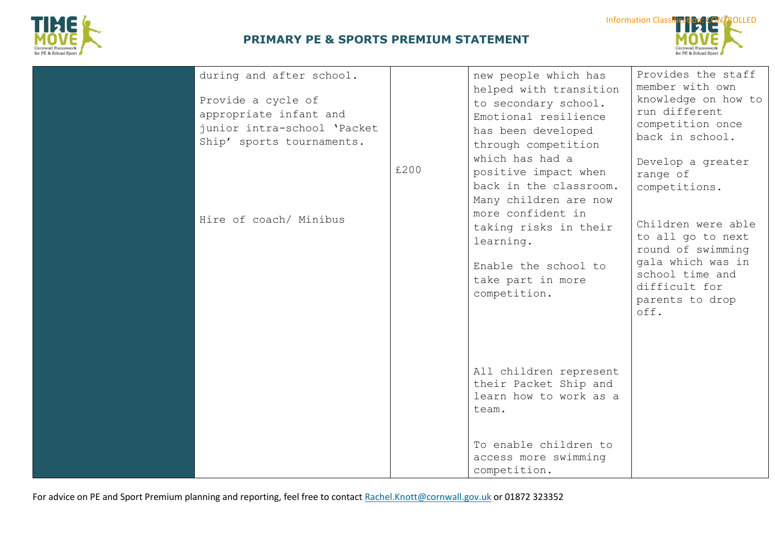



| during and after school.<br>Provide a cycle of<br>appropriate infant and<br>junior intra-school 'Packet<br>Ship' sports tournaments. | £200 | new people which has<br>helped with transition<br>to secondary school.<br>Emotional resilience<br>has been developed<br>through competition<br>which has had a<br>positive impact when<br>back in the classroom.<br>Many children are now | Provides the staff<br>member with own<br>knowledge on how to<br>run different<br>competition once<br>back in school.<br>Develop a greater<br>range of<br>competitions. |
|--------------------------------------------------------------------------------------------------------------------------------------|------|-------------------------------------------------------------------------------------------------------------------------------------------------------------------------------------------------------------------------------------------|------------------------------------------------------------------------------------------------------------------------------------------------------------------------|
| Hire of coach/ Minibus                                                                                                               |      | more confident in<br>taking risks in their<br>learning.<br>Enable the school to<br>take part in more<br>competition.                                                                                                                      | Children were able<br>to all go to next<br>round of swimming<br>gala which was in<br>school time and<br>difficult for<br>parents to drop<br>off.                       |
|                                                                                                                                      |      | All children represent<br>their Packet Ship and<br>learn how to work as a<br>team.<br>To enable children to<br>access more swimming<br>competition.                                                                                       |                                                                                                                                                                        |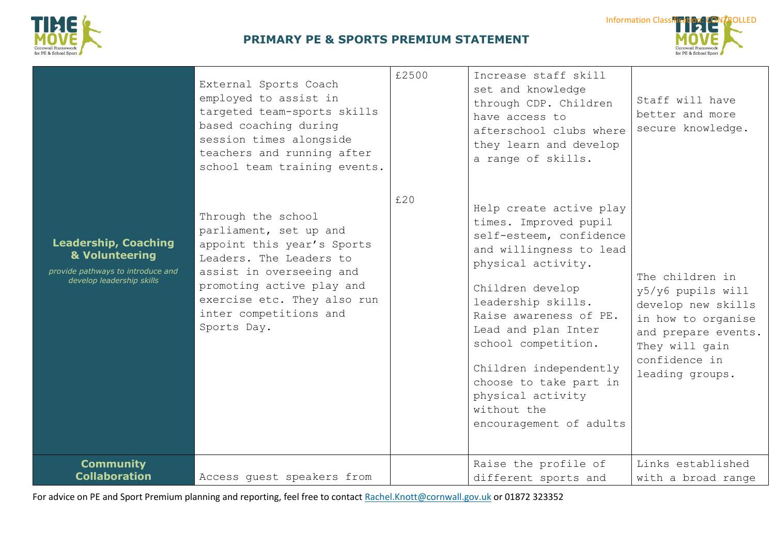



|                                                                                                                 | External Sports Coach<br>employed to assist in<br>targeted team-sports skills<br>based coaching during<br>session times alongside<br>teachers and running after<br>school team training events.                                        | £2500 | Increase staff skill<br>set and knowledge<br>through CDP. Children<br>have access to<br>afterschool clubs where<br>they learn and develop<br>a range of skills.                                                                                                                                                                                                   | Staff will have<br>better and more<br>secure knowledge.                                                                                                       |
|-----------------------------------------------------------------------------------------------------------------|----------------------------------------------------------------------------------------------------------------------------------------------------------------------------------------------------------------------------------------|-------|-------------------------------------------------------------------------------------------------------------------------------------------------------------------------------------------------------------------------------------------------------------------------------------------------------------------------------------------------------------------|---------------------------------------------------------------------------------------------------------------------------------------------------------------|
| <b>Leadership, Coaching</b><br>& Volunteering<br>provide pathways to introduce and<br>develop leadership skills | Through the school<br>parliament, set up and<br>appoint this year's Sports<br>Leaders. The Leaders to<br>assist in overseeing and<br>promoting active play and<br>exercise etc. They also run<br>inter competitions and<br>Sports Day. | £20   | Help create active play<br>times. Improved pupil<br>self-esteem, confidence<br>and willingness to lead<br>physical activity.<br>Children develop<br>leadership skills.<br>Raise awareness of PE.<br>Lead and plan Inter<br>school competition.<br>Children independently<br>choose to take part in<br>physical activity<br>without the<br>encouragement of adults | The children in<br>y5/y6 pupils will<br>develop new skills<br>in how to organise<br>and prepare events.<br>They will gain<br>confidence in<br>leading groups. |
| <b>Community</b><br><b>Collaboration</b>                                                                        | Access quest speakers from                                                                                                                                                                                                             |       | Raise the profile of<br>different sports and                                                                                                                                                                                                                                                                                                                      | Links established<br>with a broad range                                                                                                                       |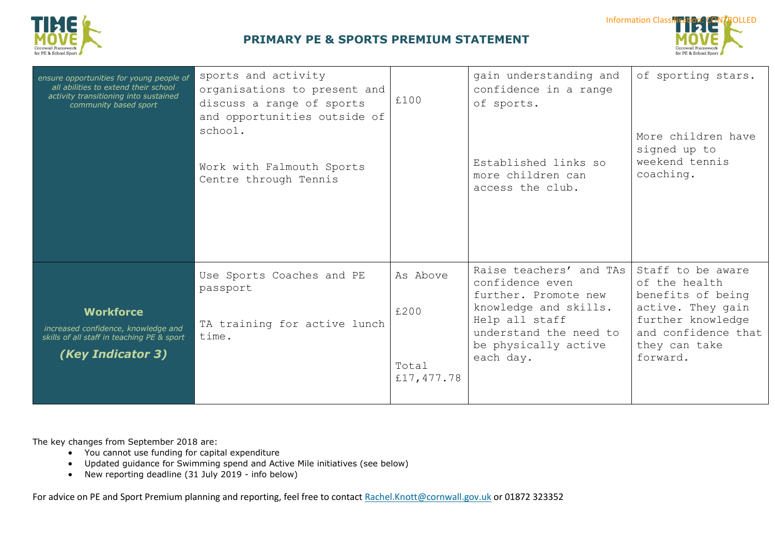



| ensure opportunities for young people of<br>all abilities to extend their school<br>activity transitioning into sustained<br>community based sport | sports and activity<br>organisations to present and<br>discuss a range of sports<br>and opportunities outside of<br>school.<br>Work with Falmouth Sports<br>Centre through Tennis | £100                                    | gain understanding and<br>confidence in a range<br>of sports.<br>Established links so<br>more children can<br>access the club.                                               | of sporting stars.<br>More children have<br>signed up to<br>weekend tennis<br>coaching.                                                               |
|----------------------------------------------------------------------------------------------------------------------------------------------------|-----------------------------------------------------------------------------------------------------------------------------------------------------------------------------------|-----------------------------------------|------------------------------------------------------------------------------------------------------------------------------------------------------------------------------|-------------------------------------------------------------------------------------------------------------------------------------------------------|
| <b>Workforce</b><br>increased confidence, knowledge and<br>skills of all staff in teaching PE & sport<br>(Key Indicator 3)                         | Use Sports Coaches and PE<br>passport<br>TA training for active lunch<br>time.                                                                                                    | As Above<br>£200<br>Total<br>£17,477.78 | Raise teachers' and TAs<br>confidence even<br>further. Promote new<br>knowledge and skills.<br>Help all staff<br>understand the need to<br>be physically active<br>each day. | Staff to be aware<br>of the health<br>benefits of being<br>active. They gain<br>further knowledge<br>and confidence that<br>they can take<br>forward. |

The key changes from September 2018 are:

- You cannot use funding for capital expenditure
- Updated guidance for Swimming spend and Active Mile initiatives (see below)
- New reporting deadline (31 July 2019 info below)